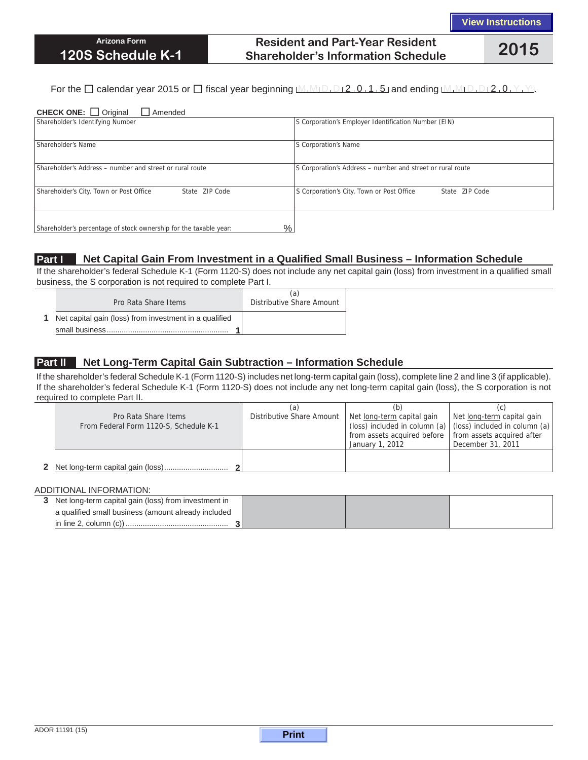## **Resident and Part-Year Resident Shareholder's Information Schedule 2015**

### For the  $\Box$  calendar year 2015 or  $\Box$  fiscal year beginning  $M_1M_1D_1D_2$ , 0, 1, 5 and ending  $M_1M_1D_1D_12$ , 0, Y, Y,

| <b>CHECK ONE:</b> $\Box$ Original<br>Amended                                       |                                                             |  |  |  |  |
|------------------------------------------------------------------------------------|-------------------------------------------------------------|--|--|--|--|
| Shareholder's Identifying Number                                                   | S Corporation's Employer Identification Number (EIN)        |  |  |  |  |
|                                                                                    |                                                             |  |  |  |  |
| Shareholder's Name                                                                 | S Corporation's Name                                        |  |  |  |  |
|                                                                                    |                                                             |  |  |  |  |
| Shareholder's Address - number and street or rural route                           | S Corporation's Address - number and street or rural route  |  |  |  |  |
|                                                                                    |                                                             |  |  |  |  |
| Shareholder's City, Town or Post Office<br>State ZIP Code                          | S Corporation's City, Town or Post Office<br>State ZIP Code |  |  |  |  |
|                                                                                    |                                                             |  |  |  |  |
|                                                                                    |                                                             |  |  |  |  |
| $\frac{0}{0}$<br>Shareholder's percentage of stock ownership for the taxable year: |                                                             |  |  |  |  |

### **Part I Net Capital Gain From Investment in a Qualified Small Business – Information Schedule**

If the shareholder's federal Schedule K-1 (Form 1120-S) does not include any net capital gain (loss) from investment in a qualified small business, the S corporation is not required to complete Part I.

| Pro Rata Share Items                                     | (a)<br>Distributive Share Amount |
|----------------------------------------------------------|----------------------------------|
| 1 Net capital gain (loss) from investment in a qualified |                                  |
|                                                          |                                  |

### **Part II Net Long-Term Capital Gain Subtraction – Information Schedule**

If the shareholder's federal Schedule K-1 (Form 1120-S) includes net long-term capital gain (loss), complete line 2 and line 3 (if applicable). If the shareholder's federal Schedule K-1 (Form 1120-S) does not include any net long-term capital gain (loss), the S corporation is not required to complete Part II.

|                                        | (a                        | (b)                                                      |                                                                     |
|----------------------------------------|---------------------------|----------------------------------------------------------|---------------------------------------------------------------------|
| Pro Rata Share Items                   | Distributive Share Amount | Net long-term capital gain                               | Net long-term capital gain                                          |
| From Federal Form 1120-S, Schedule K-1 |                           |                                                          | (loss) included in column (a) $ $ (loss) included in column (a) $ $ |
|                                        |                           | from assets acquired before   from assets acquired after |                                                                     |
|                                        |                           | January 1, 2012                                          | December 31, 2011                                                   |
|                                        |                           |                                                          |                                                                     |
|                                        |                           |                                                          |                                                                     |

#### ADDITIONAL INFORMATION:

| 3 Net long-term capital gain (loss) from investment in |  |  |
|--------------------------------------------------------|--|--|
| a qualified small business (amount already included    |  |  |
|                                                        |  |  |